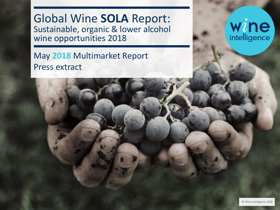Global Wine **SOLA** Report: Sustainable, organic & lower alcohol wine opportunities 2018

May **2018** Multimarket Report Press extract

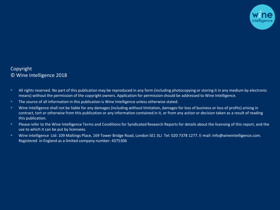

### Copyright © Wine Intelligence 2018

- All rights reserved. No part of this publication may be reproduced in any form (including photocopying or storing it in any medium by electronic means) without the permission of the copyright owners. Application for permission should be addressed to Wine Intelligence.
- **The source of all information in this publication is Wine Intelligence unless otherwise stated.**
- **EXED THE INTER INTER 10** Wine Intelligence shall not be liable for any damages (including without limitation, damages for loss of business or loss of profits) arising in contract, tort or otherwise from this publication or any information contained in it, or from any action or decision taken as a result of reading this publication.
- **Please refer to the Wine Intelligence Terms and Conditions for Syndicated Research Reports for details about the licensing of this report, and the** use to which it can be put by licensees.
- Wine Intelligence Ltd: 109 Maltings Place, 169 Tower Bridge Road, London SE1 3LJ Tel: 020 7378 1277. E-mail: info@wineintelligence.com. Registered in England as a limited company number: 4375306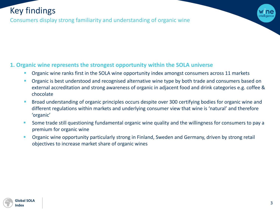## Key findings

Consumers display strong familiarity and understanding of organic wine

### **1. Organic wine represents the strongest opportunity within the SOLA universe**

- **Organic wine ranks first in the SOLA wine opportunity index amongst consumers across 11 markets**
- **•** Organic is best understood and recognised alternative wine type by both trade and consumers based on external accreditation and strong awareness of organic in adjacent food and drink categories e.g. coffee & chocolate
- **EXEDER ISLES IN A Broad understanding of organic principles occurs despite over 300 certifying bodies for organic wine and** different regulations within markets and underlying consumer view that wine is 'natural' and therefore 'organic'
- **Some trade still questioning fundamental organic wine quality and the willingness for consumers to pay a** premium for organic wine
- **Organic wine opportunity particularly strong in Finland, Sweden and Germany, driven by strong retail** objectives to increase market share of organic wines

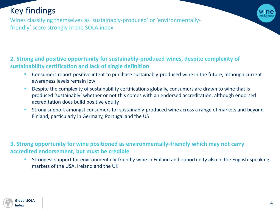## Key findings

Wines classifying themselves as 'sustainably-produced' or 'environmentallyfriendly' score strongly in the SOLA index

### **2. Strong and positive opportunity for sustainably-produced wines, despite complexity of sustainability certification and lack of single definition**

- **EXP** Consumers report positive intent to purchase sustainably-produced wine in the future, although current awareness levels remain low
- **E.** Despite the complexity of sustainability certifications globally, consumers are drawn to wine that is produced 'sustainably' whether or not this comes with an endorsed accreditation, although endorsed accreditation does build positive equity
- **EXTED Strong support amongst consumers for sustainably-produced wine across a range of markets and beyond** Finland, particularly in Germany, Portugal and the US

**3. Strong opportunity for wine positioned as environmentally-friendly which may not carry accredited endorsement, but must be credible**

**EXTED Strongest support for environmentally-friendly wine in Finland and opportunity also in the English-speaking** markets of the USA, Ireland and the UK

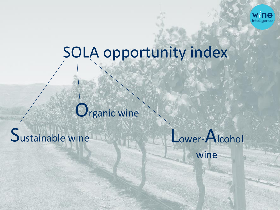

# SOLA opportunity index

# Organic wine

# Sustainable wine

Lower-Alcohol wine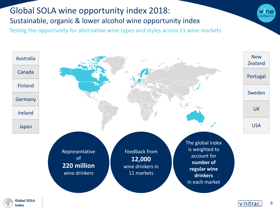### <span id="page-5-0"></span>Global SOLA wine opportunity index 2018: Sustainable, organic & lower alcohol wine opportunity index Testing the opportunity for alternative wine types and styles across 11 wine markets



**Global SOLA Index**

6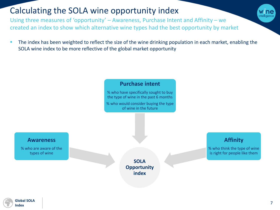## Calculating the SOLA wine opportunity index

Using three measures of 'opportunity' – Awareness, Purchase Intent and Affinity – we created an index to show which alternative wine types had the best opportunity by market

The index has been weighted to reflect the size of the wine drinking population in each market, enabling the SOLA wine index to be more reflective of the global market opportunity



**Global SOLA Index**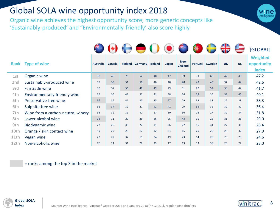### Global SOLA wine opportunity index 2018

Organic wine achieves the highest opportunity score; more generic concepts like 'Sustainably-produced' and "Environmentally-friendly' also score highly

|                 |                                   |                  |        | $\leftrightarrow$ |         |                |       |                              | $\bigoplus$ |        | ╬               |           | [GLOBAL]                                |
|-----------------|-----------------------------------|------------------|--------|-------------------|---------|----------------|-------|------------------------------|-------------|--------|-----------------|-----------|-----------------------------------------|
| <b>Rank</b>     | <b>Type of wine</b>               | <b>Australia</b> | Canada | <b>Finland</b>    | Germany | <b>Ireland</b> | Japan | <b>New</b><br><b>Zealand</b> | Portugal    | Sweden | <b>UK</b>       | <b>US</b> | <b>Weighted</b><br>opportunity<br>index |
| 1st             | Organic wine                      | 38               | 45     | 70                | 52      | 48             | 47    | 39                           | 33          | 68     | 42              | 48        | 47.2                                    |
| 2 <sub>nd</sub> | Sustainably-produced wine         | 35               | 39     | 51                | 50      | 40             | 40    | 40                           | 49          | 40     | 37              | 44        | 42.6                                    |
| 3rd             | Fairtrade wine                    | 30               | 37     | 56                | 48      | 49             | 29    | 31                           | 27          | 52     | 50 <sup>°</sup> | 44        | 41.7                                    |
| 4th             | Environmentally-friendly wine     | 35               | 35     | 48                | 33      | 41             | 38    | 36                           | 38          | 35     | 39              | 45        | 40.1                                    |
| 5th             | Preservative-free wine            | 36               | 35     | 41                | 30      | 35             | 57    | 29                           | 33          | 33     | 27              | 39        | 38.3                                    |
| 6th             | Sulphite-free wine                | 31               | 37     | 39                | 27      | 42             | 41    | 29                           | 35          | 32     | 30 <sup>°</sup> | 40        | 36.4                                    |
| 7th             | Wine from a carbon-neutral winery | 33               | 32     | 31                | 31      | 27             | 30    | 30 <sup>°</sup>              | 18          | 27     | 32              | 34        | 31.8                                    |
| 8th             | Lower-alcohol wine                | 38               | 31     | 29                | 26      | 36             | 25    | 43                           | 35          | 26     | 31              | 28        | 29.0                                    |
| 9th             | <b>Biodynamic wine</b>            | 27               | 25     | 35                | 27      | 31             | 26    | 27                           | 16          | 31     | 27              | 31        | 28.4                                    |
| 10th            | Orange / skin contact wine        | 19               | 27     | 29                | 17      | 32             | 24    | 15                           | 20          | 20     | 28              | 32        | 27.0                                    |
| 11th            | Vegan wine                        | 22               | 22     | 37                | 19      | 24             | 19    | 23                           | 14          | 28     | 23              | 29        | 24.6                                    |
| 12th            | Non-alcoholic wine                | 26               | 21     | 31                | 26      | 29             | 17    | 19                           | 13          | 38     | 28              | 22        | 23.0                                    |
|                 |                                   |                  |        |                   |         |                |       |                              |             |        |                 |           |                                         |

= ranks among the top 3 in the market



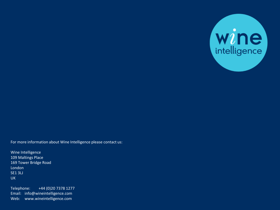

For more information about Wine Intelligence please contact us:

Wine Intelligence 109 Maltings Place 169 Tower Bridge Road London SE1 3LJ UK

Web: www.wineintelligence.com Telephone: +44 (0)20 7378 1277 Email: info@wineintelligence.com